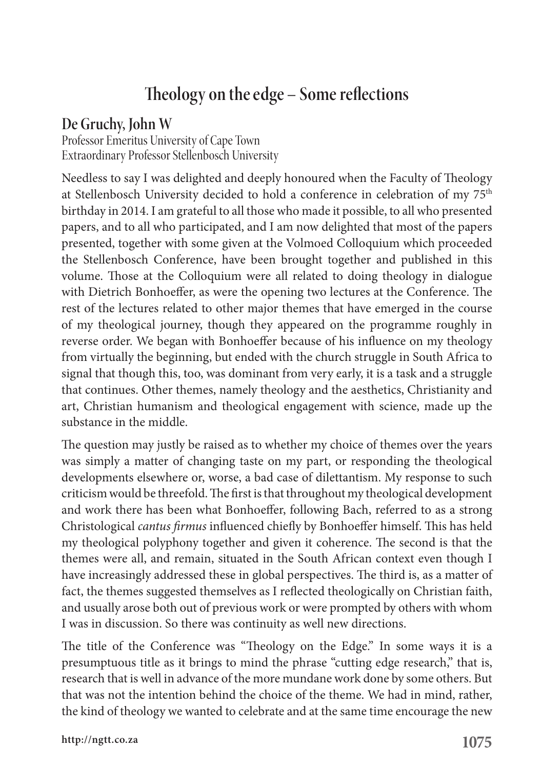## **Theology on the edge – Some reflections**

## **De Gruchy, John W**

Professor Emeritus University of Cape Town Extraordinary Professor Stellenbosch University

Needless to say I was delighted and deeply honoured when the Faculty of Theology at Stellenbosch University decided to hold a conference in celebration of my 75th birthday in 2014. I am grateful to all those who made it possible, to all who presented papers, and to all who participated, and I am now delighted that most of the papers presented, together with some given at the Volmoed Colloquium which proceeded the Stellenbosch Conference, have been brought together and published in this volume. Those at the Colloquium were all related to doing theology in dialogue with Dietrich Bonhoeffer, as were the opening two lectures at the Conference. The rest of the lectures related to other major themes that have emerged in the course of my theological journey, though they appeared on the programme roughly in reverse order. We began with Bonhoeffer because of his influence on my theology from virtually the beginning, but ended with the church struggle in South Africa to signal that though this, too, was dominant from very early, it is a task and a struggle that continues. Other themes, namely theology and the aesthetics, Christianity and art, Christian humanism and theological engagement with science, made up the substance in the middle.

The question may justly be raised as to whether my choice of themes over the years was simply a matter of changing taste on my part, or responding the theological developments elsewhere or, worse, a bad case of dilettantism. My response to such criticism would be threefold. The first is that throughout my theological development and work there has been what Bonhoeffer, following Bach, referred to as a strong Christological *cantus firmus* influenced chiefly by Bonhoeffer himself. This has held my theological polyphony together and given it coherence. The second is that the themes were all, and remain, situated in the South African context even though I have increasingly addressed these in global perspectives. The third is, as a matter of fact, the themes suggested themselves as I reflected theologically on Christian faith, and usually arose both out of previous work or were prompted by others with whom I was in discussion. So there was continuity as well new directions.

The title of the Conference was "Theology on the Edge." In some ways it is a presumptuous title as it brings to mind the phrase "cutting edge research," that is, research that is well in advance of the more mundane work done by some others. But that was not the intention behind the choice of the theme. We had in mind, rather, the kind of theology we wanted to celebrate and at the same time encourage the new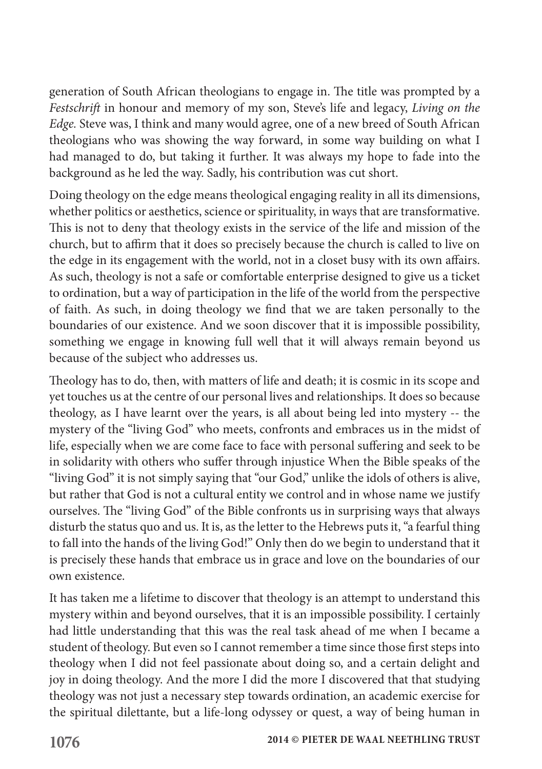generation of South African theologians to engage in. The title was prompted by a *Festschrift* in honour and memory of my son, Steve's life and legacy, *Living on the Edge.* Steve was, I think and many would agree, one of a new breed of South African theologians who was showing the way forward, in some way building on what I had managed to do, but taking it further. It was always my hope to fade into the background as he led the way. Sadly, his contribution was cut short.

Doing theology on the edge means theological engaging reality in all its dimensions, whether politics or aesthetics, science or spirituality, in ways that are transformative. This is not to deny that theology exists in the service of the life and mission of the church, but to affirm that it does so precisely because the church is called to live on the edge in its engagement with the world, not in a closet busy with its own affairs. As such, theology is not a safe or comfortable enterprise designed to give us a ticket to ordination, but a way of participation in the life of the world from the perspective of faith. As such, in doing theology we find that we are taken personally to the boundaries of our existence. And we soon discover that it is impossible possibility, something we engage in knowing full well that it will always remain beyond us because of the subject who addresses us.

Theology has to do, then, with matters of life and death; it is cosmic in its scope and yet touches us at the centre of our personal lives and relationships. It does so because theology, as I have learnt over the years, is all about being led into mystery -- the mystery of the "living God" who meets, confronts and embraces us in the midst of life, especially when we are come face to face with personal suffering and seek to be in solidarity with others who suffer through injustice When the Bible speaks of the "living God" it is not simply saying that "our God," unlike the idols of others is alive, but rather that God is not a cultural entity we control and in whose name we justify ourselves. The "living God" of the Bible confronts us in surprising ways that always disturb the status quo and us. It is, as the letter to the Hebrews puts it, "a fearful thing to fall into the hands of the living God!" Only then do we begin to understand that it is precisely these hands that embrace us in grace and love on the boundaries of our own existence.

It has taken me a lifetime to discover that theology is an attempt to understand this mystery within and beyond ourselves, that it is an impossible possibility. I certainly had little understanding that this was the real task ahead of me when I became a student of theology. But even so I cannot remember a time since those first steps into theology when I did not feel passionate about doing so, and a certain delight and joy in doing theology. And the more I did the more I discovered that that studying theology was not just a necessary step towards ordination, an academic exercise for the spiritual dilettante, but a life-long odyssey or quest, a way of being human in